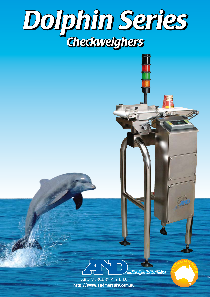



**AUSTRALIA<sup>N</sup> <sup>M</sup>A<sup>D</sup>**

http://www.andmercury.com.au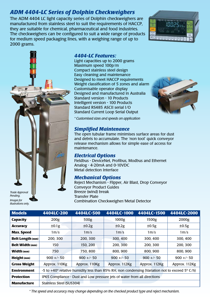## *ADM 4404-LC Series of Dolphin Checkweighers*

The ADM 4404 LC light capacity series of Dolphin checkweighers are manufactured from stainless steel to suit the requirements of HACCP, they are suitable for chemical, pharmaceutical and food industries. The checkweighers can be configured to suit a wide range of products for medium speed packaging lines, with a weighing range of up to 2000 grams.





*Pending. Images for illustrations only.*

## *4404-LC Features:*

Light capacities up to 2000 grams Maximum speed 100p/m Compact stainless steel design Easy cleaning and maintenance Designed to meet HACCP requirements Weight classification of 5 zones and alarm Customisable operator display Designed and manufactured in Australia Standard version - 10 Products Intelligent version - 100 Products Standard RS485 ASCII serial I/O Standard Current Loop Serial Output



*\* Customised sizes and speeds on application*

## *Simplified Maintenance*

The open tubular frame minimises surface areas for dust and debris to accumulate. The 'non tool' quick conveyor release mechanism allows for simple ease of access for maintenance.

## *Electrical Options*

Fieldbus - DeviceNet, Profibus, Modbus and Ethernet Analog - 4-20mA and 0-10VDC Metal detection Interface

## *Mechanical Options*

Reject Mechanism - Flipper, Air Blast, Drop Conveyor Conveyor Product Guides Breeze (wind) break Transfer Plate Combination Checkweigher/Metal Detector

| <b>Models</b>           | 4404LC-200               | 4404LC-500        | 4404LC-1000                                                                                    | 4404LC-1500       | 4404LC-2000       |
|-------------------------|--------------------------|-------------------|------------------------------------------------------------------------------------------------|-------------------|-------------------|
| <b>Capacity</b>         | 200g                     | 500g              | 1000g                                                                                          | 1500g             | 2000g             |
| <b>Accuracy</b>         | ±0.1g                    | ±0.2g             | ±0.2g                                                                                          | ±0.5g             | ±0.5g             |
| <b>Max. Speed</b>       | $1m$ /s                  | 1 <sub>m</sub> /s | 1 <sub>m</sub> /s                                                                              | 1 <sub>m</sub> /s | 1 <sub>m</sub> /s |
| <b>Belt Length (mm)</b> | 200, 300                 | 200, 300          | 300, 400                                                                                       | 300, 400          | 300, 400          |
| <b>Belt Width (mm)</b>  | 150                      | 150, 200          | 200, 300                                                                                       | 200, 300          | 200, 300          |
| <b>Width (mm)</b>       | 750                      | 750,800           | 800, 900                                                                                       | 800, 900          | 800, 900          |
| Height (mm)             | $900 +/- 50$             | $900 +/- 50$      | $900 +/- 50$                                                                                   | $900 +/- 50$      | $900 +/- 50$      |
| <b>Gross Weight</b>     | Approx. 110Kg            | Approx. 110Kg     | Approx. 112Kg                                                                                  | Approx. 112Kg     | Approx. 112Kg     |
| <b>Environment</b>      |                          |                   | -5 to +40° relative humidity less than 85% RH, non condensing (Variation not to exceed 5° C/h) |                   |                   |
| <b>Protection</b>       |                          |                   | IP65 Compliance - Dust and Low pressure jets of water from all directions                      |                   |                   |
| <b>Manufacture</b>      | Stainless Steel (SUS304) |                   |                                                                                                |                   |                   |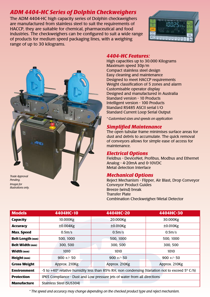## *ADM 4404-HC Series of Dolphin Checkweighers*

The ADM 4404-HC high capacity series of Dolphin checkweighers are manufactured from stainless steel to suit the requirements of HACCP, they are suitable for chemical, pharmaceutical and food industries. The checkweighers can be configured to suit a wide range of products for medium speed packaging lines, with a weighing range of up to 30 kilograms.





*Images for illustrations only.*

## *4404-HC Features:*

High capacities up to 30.000 Kilograms Maximum speed 30p/m Compact stainless steel design Easy cleaning and maintenance Designed to meet HACCP requirements Weight classification of 5 zones and alarm Customisable operator display Designed and manufactured in Australia Standard version - 10 Products Intelligent version - 100 Products Standard RS485 ASCII serial I/O Standard Current Loop Serial Output

*\* Customised sizes and speeds on application*

## *Simplified Maintenance*

The open tubular frame minimises surface areas for dust and debris to accumulate. The quick removal of conveyors allows for simple ease of access for maintenance.

## *Electrical Options*

Fieldbus - DeviceNet, Profibus, Modbus and Ethernet Analog - 4-20mA and 0-10VDC Metal detection Interface

## *Mechanical Options*

Reject Mechanism - Flipper, Air Blast, Drop Conveyor Conveyor Product Guides Breeze (wind) break Transfer Plate Combination Checkweigher/Metal Detector

| <b>Models</b>           | 4404HC-10                                                                                      |             | 4404HC-20     |             |          | 4404HC-30     |  |
|-------------------------|------------------------------------------------------------------------------------------------|-------------|---------------|-------------|----------|---------------|--|
| <b>Capacity</b>         | 10.000Kg                                                                                       |             | 20.000Kg      |             | 30.000Kg |               |  |
| <b>Accuracy</b>         | $\pm 0.004$ Kg                                                                                 | $±0.010$ Kg |               | $±0.010$ Kg |          |               |  |
| <b>Max. Speed</b>       | 0.5 <sub>m</sub> /s                                                                            | $0.5m$ /s   |               | $0.5m$ /s   |          |               |  |
| <b>Belt Length (mm)</b> | 500, 1000                                                                                      | 500, 1000   |               | 500, 1000   |          |               |  |
| <b>Belt Width (mm)</b>  | 300, 500                                                                                       |             | 300, 500      |             |          | 300, 500      |  |
| <b>Width (mm)</b>       | 1010                                                                                           |             | 1010          |             |          | 1010          |  |
| Height (mm)             | $900 +/- 50$                                                                                   |             | $900 +/- 50$  |             |          | $900 +/- 50$  |  |
| <b>Gross Weight</b>     | Approx. 210Kg                                                                                  |             | Approx. 210Kg |             |          | Approx. 210Kg |  |
| <b>Environment</b>      | -5 to +40° relative humidity less than 85% RH, non condensing (Variation not to exceed 5° C/h) |             |               |             |          |               |  |
| <b>Protection</b>       | IP65 Compliance - Dust and Low pressure jets of water from all directions                      |             |               |             |          |               |  |
| <b>Manufacture</b>      | Stainless Steel (SUS304)                                                                       |             |               |             |          |               |  |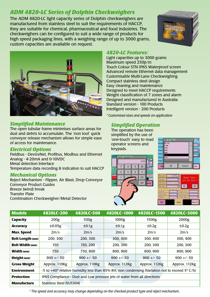## *ADM 4820-LC Series of Dolphin Checkweighers*

The ADM 4820-LC light capacity series of Dolphin checkweighers are manufactured from stainless steel to suit the requirements of HACCP, they are suitable for chemical, pharmaceutical and food industries. The checkweighers can be configured to suit a wide range of products for high speed packaging lines, with a weighing range of up to 3000 grams, custom capacities are available on request.





## *Simplified Maintenance*

The open tubular frame minimises surface areas for dust and debris to accumulate. The 'non tool' quick conveyor release mechanism allows for simple ease of access for maintenance.

## *Electrical Options*

Fieldbus - DeviceNet, Profibus, Modbus and Ethernet Analog - 4-20mA and 0-10VDC Metal detection Interface Temperature data recording & indication to suit HACCP

## *Mechanical Options*

Reject Mechanism - Flipper, Air Blast, Drop Conveyor Conveyor Product Guides Breeze (wind) break Transfer Plate Combination Checkweigher/Metal Detector

## *4820-LC Features:*

Light capacities up to 3000 grams Maximum speed 250p/m Touch Colour STN IP65 Waterproof screen Advanced remote Ethernet data management Customisable Multi-Lane Checkweighing Compact stainless steel design Easy cleaning and maintenance Designed to meet HACCP requirements Weight classification of 7 zones and alarm Designed and manufactured in Australia Standard version - 100 Products Intelligent version - 200 Products

*\* Customised sizes and speeds on application*

## *Simplified Operation*

The operation has been simplified by the use of 'one-touch' easy to read operator screens and keypads.







| <b>Models</b>           | 4820LC-200               | 4820LC-500                                                                                                               | 4820LC-1000   | 4820LC-1500   | 4820LC-3000   |
|-------------------------|--------------------------|--------------------------------------------------------------------------------------------------------------------------|---------------|---------------|---------------|
| <b>Capacity</b>         | 200g                     | 500g                                                                                                                     | 1000g         | 1500g         | 2000g         |
| <b>Accuracy</b>         | ±0.05g                   | ±0.1g                                                                                                                    | ±0.1g         | ±0.2g         | ±0.2g         |
| <b>Max. Speed</b>       | 2m/s                     | 2m/s                                                                                                                     | 2m/s          | 2m/s          | 2m/s          |
| <b>Belt Length (mm)</b> | 200, 300                 | 200, 300                                                                                                                 | 300, 400      | 300, 400      | 300, 400      |
| <b>Belt Width (mm)</b>  | 150                      | 150, 200                                                                                                                 | 200, 300      | 200, 300      | 200, 300      |
| <b>Width (mm)</b>       | 750                      | 750,800                                                                                                                  | 800, 900      | 800, 900      | 800, 900      |
| Height (mm)             | $900 +/- 50$             | $900 +/- 50$                                                                                                             | $900 +/- 50$  | $900 +/- 50$  | $900 +/- 50$  |
| <b>Gross Weight</b>     | Approx. 110Kg            | Approx. 110Kg                                                                                                            | Approx. 112Kg | Approx. 112Kg | Approx. 112Kg |
| <b>Environment</b>      |                          | -5 to +40 $\textdegree$ relative humidity less than 85% RH, non condensing (Variation not to exceed 5 $\textdegree$ C/h) |               |               |               |
| <b>Protection</b>       |                          | IP65 Compliance - Dust and Low pressure jets of water from all directions                                                |               |               |               |
| <b>Manufacture</b>      | Stainless Steel (SUS304) |                                                                                                                          |               |               |               |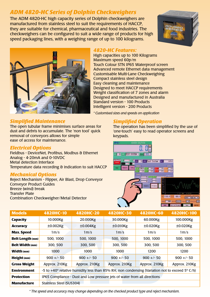## *ADM 4820-HC Series of Dolphin Checkweighers*

The ADM 4820-HC high capacity series of Dolphin checkweighers are manufactured from stainless steel to suit the requirements of HACCP, they are suitable for chemical, pharmaceutical and food industries. The checkweighers can be configured to suit a wide range of products for high speed packaging lines, with a weighing range of up to 100 kilograms.





### *4820-HC Features:*

High capacities up to 100 Kilograms Maximum speed 60p/m Touch Colour STN IP65 Waterproof screen Advanced remote Ethernet data management Customisable Multi-Lane Checkweighing Compact stainless steel design Easy cleaning and maintenance Designed to meet HACCP requirements Weight classification of 7 zones and alarm Designed and manufactured in Australia Standard version - 100 Products Intelligent version - 200 Products

*\* Customised sizes and speeds on application*

## *Simplified Operation*

The operation has been simplified by the use of 'one-touch' easy to read operator screens and keypads.



| <b>Models</b>           | 4820HC-10                                                                                                        | 4820HC-20                                                                 | 4820HC-30         | 4820HC-60        | 4820HC-100       |
|-------------------------|------------------------------------------------------------------------------------------------------------------|---------------------------------------------------------------------------|-------------------|------------------|------------------|
| <b>Capacity</b>         | 10.000Kg                                                                                                         | 20.000Kg                                                                  | 30.000Kg          | 60.000Kg         | 100.000Kg        |
| <b>Accuracy</b>         | $\pm 0.002$ Kg                                                                                                   | $±0.004$ Kg                                                               | $±0.010$ Kg       | $±0.020$ Kg      | $±0.020$ Kg      |
| <b>Max. Speed</b>       | 1 <sub>m</sub> /s                                                                                                | 1 <sub>m</sub> /s                                                         | 1 <sub>m</sub> /s | 1 <sub>m/s</sub> | 1 <sub>m/s</sub> |
| <b>Belt Length (mm)</b> | 500, 1000                                                                                                        | 500, 1000                                                                 | 500, 1000         | 500, 1000        | 500, 1000        |
| <b>Belt Width (mm)</b>  | 300, 500                                                                                                         | 300, 500                                                                  | 300, 500          | 300, 500         | 300, 500         |
| <b>Width (mm)</b>       | 1000                                                                                                             | 1000                                                                      | 1000              | 1200             | 1200             |
| <b>Height (mm)</b>      | $900 +/- 50$                                                                                                     | $900 +/- 50$                                                              | $900 +/- 50$      | $900 +/- 50$     | $900 +/- 50$     |
| <b>Gross Weight</b>     | Approx. 210Kg                                                                                                    | Approx. 210Kg                                                             | Approx. 210Kg     | Approx. 210Kg    | Approx. 210Kg    |
| <b>Environment</b>      | -5 to +40 $\degree$ relative humidity less than 85% RH, non condensing (Variation not to exceed 5 $\degree$ C/h) |                                                                           |                   |                  |                  |
| <b>Protection</b>       |                                                                                                                  | IP65 Compliance - Dust and Low pressure jets of water from all directions |                   |                  |                  |
| <b>Manufacture</b>      | Stainless Steel (SUS304)                                                                                         |                                                                           |                   |                  |                  |

*Simplified Maintenance*

The open tubular frame minimises surface areas for dust and debris to accumulate. The 'non tool' quick removal of conveyors allows for simple ease of access for maintenance.

#### *Electrical Options*

Fieldbus - DeviceNet, Profibus, Modbus & Ethernet Analog - 4-20mA and 0-10VDC Metal detection Interface Temperature data recording & indication to suit HACCP

## *Mechanical Options*

Reject Mechanism - Flipper, Air Blast, Drop Conveyor Conveyor Product Guides Breeze (wind) break Transfer Plate Combination Checkweigher/Metal Detector